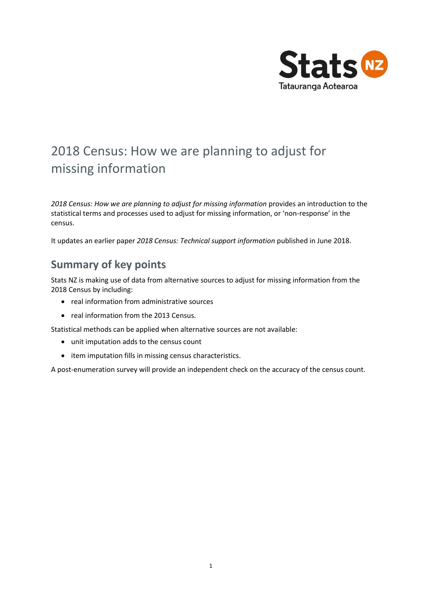

# 2018 Census: How we are planning to adjust for missing information

*2018 Census: How we are planning to adjust for missing information* provides an introduction to the statistical terms and processes used to adjust for missing information, or 'non-response' in the census.

It updates an earlier paper *2018 Census: Technical support information* published in June 2018.

## **Summary of key points**

Stats NZ is making use of data from alternative sources to adjust for missing information from the 2018 Census by including:

- real information from administrative sources
- real information from the 2013 Census.

Statistical methods can be applied when alternative sources are not available:

- unit imputation adds to the census count
- item imputation fills in missing census characteristics.

A post-enumeration survey will provide an independent check on the accuracy of the census count.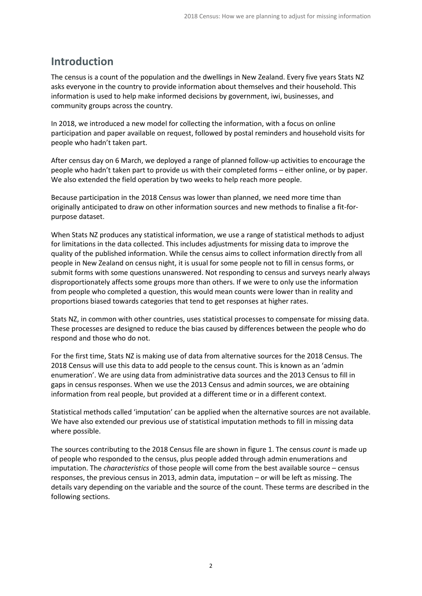## **Introduction**

The census is a count of the population and the dwellings in New Zealand. Every five years Stats NZ asks everyone in the country to provide information about themselves and their household. This information is used to help make informed decisions by government, iwi, businesses, and community groups across the country.

In 2018, we introduced a new model for collecting the information, with a focus on online participation and paper available on request, followed by postal reminders and household visits for people who hadn't taken part.

After census day on 6 March, we deployed a range of planned follow-up activities to encourage the people who hadn't taken part to provide us with their completed forms – either online, or by paper. We also extended the field operation by two weeks to help reach more people.

Because participation in the 2018 Census was lower than planned, we need more time than originally anticipated to draw on other information sources and new methods to finalise a fit-forpurpose dataset.

When Stats NZ produces any statistical information, we use a range of statistical methods to adjust for limitations in the data collected. This includes adjustments for missing data to improve the quality of the published information. While the census aims to collect information directly from all people in New Zealand on census night, it is usual for some people not to fill in census forms, or submit forms with some questions unanswered. Not responding to census and surveys nearly always disproportionately affects some groups more than others. If we were to only use the information from people who completed a question, this would mean counts were lower than in reality and proportions biased towards categories that tend to get responses at higher rates.

Stats NZ, in common with other countries, uses statistical processes to compensate for missing data. These processes are designed to reduce the bias caused by differences between the people who do respond and those who do not.

For the first time, Stats NZ is making use of data from alternative sources for the 2018 Census. The 2018 Census will use this data to add people to the census count. This is known as an 'admin enumeration'. We are using data from administrative data sources and the 2013 Census to fill in gaps in census responses. When we use the 2013 Census and admin sources, we are obtaining information from real people, but provided at a different time or in a different context.

Statistical methods called 'imputation' can be applied when the alternative sources are not available. We have also extended our previous use of statistical imputation methods to fill in missing data where possible.

The sources contributing to the 2018 Census file are shown in figure 1. The census *count* is made up of people who responded to the census, plus people added through admin enumerations and imputation. The *characteristics* of those people will come from the best available source – census responses, the previous census in 2013, admin data, imputation – or will be left as missing. The details vary depending on the variable and the source of the count. These terms are described in the following sections.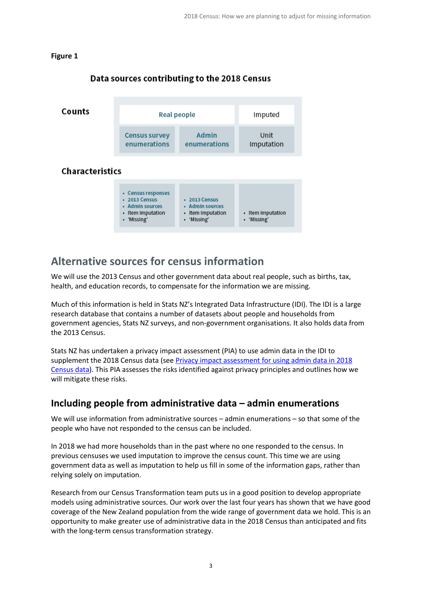#### **Figure 1**



#### Data sources contributing to the 2018 Census

## **Alternative sources for census information**

We will use the 2013 Census and other government data about real people, such as births, tax, health, and education records, to compensate for the information we are missing.

Much of this information is held in Stats NZ's Integrated Data Infrastructure (IDI). The IDI is a large research database that contains a number of datasets about people and households from government agencies, Stats NZ surveys, and non-government organisations. It also holds data from the 2013 Census.

Stats NZ has undertaken a privacy impact assessment (PIA) to use admin data in the IDI to supplement the 2018 Census data (se[e Privacy impact assessment for using admin data in 2018](https://www.stats.govt.nz/privacy-impact-assessments/privacy-impact-assessment-for-using-admin-data-in-2018-census-data)  [Census data\)](https://www.stats.govt.nz/privacy-impact-assessments/privacy-impact-assessment-for-using-admin-data-in-2018-census-data). This PIA assesses the risks identified against privacy principles and outlines how we will mitigate these risks.

### **Including people from administrative data – admin enumerations**

We will use information from administrative sources – admin enumerations – so that some of the people who have not responded to the census can be included.

In 2018 we had more households than in the past where no one responded to the census. In previous censuses we used imputation to improve the census count. This time we are using government data as well as imputation to help us fill in some of the information gaps, rather than relying solely on imputation.

Research from our Census Transformation team puts us in a good position to develop appropriate models using administrative sources. Our work over the last four years has shown that we have good coverage of the New Zealand population from the wide range of government data we hold. This is an opportunity to make greater use of administrative data in the 2018 Census than anticipated and fits with the long-term census transformation strategy.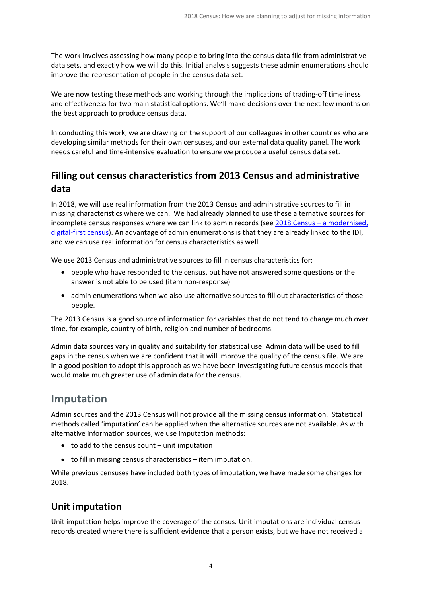The work involves assessing how many people to bring into the census data file from administrative data sets, and exactly how we will do this. Initial analysis suggests these admin enumerations should improve the representation of people in the census data set.

We are now testing these methods and working through the implications of trading-off timeliness and effectiveness for two main statistical options. We'll make decisions over the next few months on the best approach to produce census data.

In conducting this work, we are drawing on the support of our colleagues in other countries who are developing similar methods for their own censuses, and our external data quality panel. The work needs careful and time-intensive evaluation to ensure we produce a useful census data set.

### **Filling out census characteristics from 2013 Census and administrative data**

In 2018, we will use real information from the 2013 Census and administrative sources to fill in missing characteristics where we can. We had already planned to use these alternative sources for incomplete census responses where we can link to admin records (see 2018 Census – [a modernised,](https://www.stats.govt.nz/methods/2018-census-a-modernised-digital-first-census)  [digital-first census\)](https://www.stats.govt.nz/methods/2018-census-a-modernised-digital-first-census). An advantage of admin enumerations is that they are already linked to the IDI, and we can use real information for census characteristics as well.

We use 2013 Census and administrative sources to fill in census characteristics for:

- people who have responded to the census, but have not answered some questions or the answer is not able to be used (item non-response)
- admin enumerations when we also use alternative sources to fill out characteristics of those people.

The 2013 Census is a good source of information for variables that do not tend to change much over time, for example, country of birth, religion and number of bedrooms.

Admin data sources vary in quality and suitability for statistical use. Admin data will be used to fill gaps in the census when we are confident that it will improve the quality of the census file. We are in a good position to adopt this approach as we have been investigating future census models that would make much greater use of admin data for the census.

## **Imputation**

Admin sources and the 2013 Census will not provide all the missing census information. Statistical methods called 'imputation' can be applied when the alternative sources are not available. As with alternative information sources, we use imputation methods:

- to add to the census count unit imputation
- to fill in missing census characteristics item imputation.

While previous censuses have included both types of imputation, we have made some changes for 2018.

### **Unit imputation**

Unit imputation helps improve the coverage of the census. Unit imputations are individual census records created where there is sufficient evidence that a person exists, but we have not received a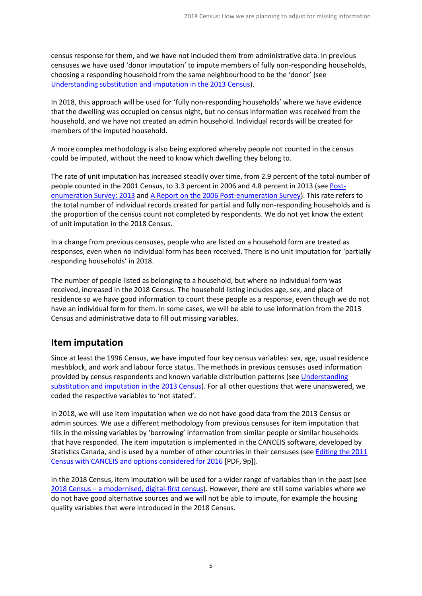census response for them, and we have not included them from administrative data. In previous censuses we have used 'donor imputation' to impute members of fully non-responding households, choosing a responding household from the same neighbourhood to be the 'donor' (see [Understanding substitution and imputation in the 2013 Census\)](http://archive.stats.govt.nz/Census/2013-census/methodology/substitution-and-imputation.aspx).

In 2018, this approach will be used for 'fully non-responding households' where we have evidence that the dwelling was occupied on census night, but no census information was received from the household, and we have not created an admin household. Individual records will be created for members of the imputed household.

A more complex methodology is also being explored whereby people not counted in the census could be imputed, without the need to know which dwelling they belong to.

The rate of unit imputation has increased steadily over time, from 2.9 percent of the total number of people counted in the 2001 Census, to 3.3 percent in 2006 and 4.8 percent in 2013 (se[e Post](http://archive.stats.govt.nz/browse_for_stats/population/census_counts/PostEnumerationSurvey_HOTP13.aspx)[enumeration Survey: 2013](http://archive.stats.govt.nz/browse_for_stats/population/census_counts/PostEnumerationSurvey_HOTP13.aspx) and [A Report on the 2006 Post-enumeration Survey\)](http://archive.stats.govt.nz/browse_for_stats/population/census_counts/report-on-2006-post-enumeration.aspx). This rate refers to the total number of individual records created for partial and fully non-responding households and is the proportion of the census count not completed by respondents. We do not yet know the extent of unit imputation in the 2018 Census.

In a change from previous censuses, people who are listed on a household form are treated as responses, even when no individual form has been received. There is no unit imputation for 'partially responding households' in 2018.

The number of people listed as belonging to a household, but where no individual form was received, increased in the 2018 Census. The household listing includes age, sex, and place of residence so we have good information to count these people as a response, even though we do not have an individual form for them. In some cases, we will be able to use information from the 2013 Census and administrative data to fill out missing variables.

#### **Item imputation**

Since at least the 1996 Census, we have imputed four key census variables: sex, age, usual residence meshblock, and work and labour force status. The methods in previous censuses used information provided by census respondents and known variable distribution patterns (see [Understanding](http://archive.stats.govt.nz/Census/2013-census/methodology/substitution-and-imputation.aspx)  [substitution and imputation in the 2013 Census\)](http://archive.stats.govt.nz/Census/2013-census/methodology/substitution-and-imputation.aspx). For all other questions that were unanswered, we coded the respective variables to 'not stated'.

In 2018, we will use item imputation when we do not have good data from the 2013 Census or admin sources. We use a different methodology from previous censuses for item imputation that fills in the missing variables by 'borrowing' information from similar people or similar households that have responded. The item imputation is implemented in the CANCEIS software, developed by Statistics Canada, and is used by a number of other countries in their censuses (see [Editing the 2011](https://www.unece.org/fileadmin/DAM/stats/documents/ece/ces/ge.44/2014/mtg1/Topic_4_Canada_Guertin.pdf)  [Census with CANCEIS and options considered for 2016](https://www.unece.org/fileadmin/DAM/stats/documents/ece/ces/ge.44/2014/mtg1/Topic_4_Canada_Guertin.pdf) [PDF, 9p]).

In the 2018 Census, item imputation will be used for a wider range of variables than in the past (see 2018 Census – [a modernised, digital-first census\)](https://www.stats.govt.nz/methods/2018-census-a-modernised-digital-first-census). However, there are still some variables where we do not have good alternative sources and we will not be able to impute, for example the housing quality variables that were introduced in the 2018 Census.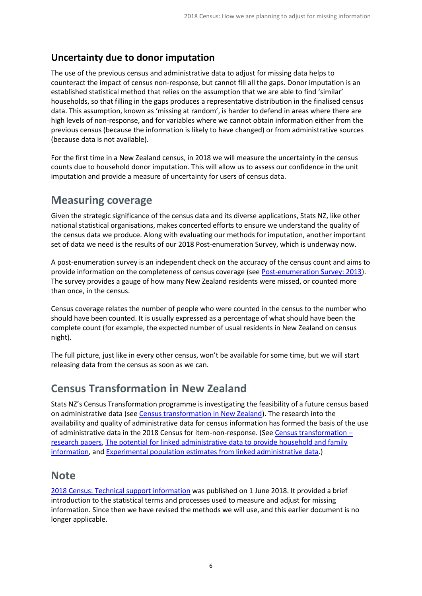### **Uncertainty due to donor imputation**

The use of the previous census and administrative data to adjust for missing data helps to counteract the impact of census non-response, but cannot fill all the gaps. Donor imputation is an established statistical method that relies on the assumption that we are able to find 'similar' households, so that filling in the gaps produces a representative distribution in the finalised census data. This assumption, known as 'missing at random', is harder to defend in areas where there are high levels of non-response, and for variables where we cannot obtain information either from the previous census (because the information is likely to have changed) or from administrative sources (because data is not available).

For the first time in a New Zealand census, in 2018 we will measure the uncertainty in the census counts due to household donor imputation. This will allow us to assess our confidence in the unit imputation and provide a measure of uncertainty for users of census data.

## **Measuring coverage**

Given the strategic significance of the census data and its diverse applications, Stats NZ, like other national statistical organisations, makes concerted efforts to ensure we understand the quality of the census data we produce. Along with evaluating our methods for imputation, another important set of data we need is the results of our 2018 Post-enumeration Survey, which is underway now.

A post-enumeration survey is an independent check on the accuracy of the census count and aims to provide information on the completeness of census coverage (see [Post-enumeration Survey: 2013\)](http://archive.stats.govt.nz/browse_for_stats/population/census_counts/PostEnumerationSurvey_HOTP13.aspx). The survey provides a gauge of how many New Zealand residents were missed, or counted more than once, in the census.

Census coverage relates the number of people who were counted in the census to the number who should have been counted. It is usually expressed as a percentage of what should have been the complete count (for example, the expected number of usual residents in New Zealand on census night).

The full picture, just like in every other census, won't be available for some time, but we will start releasing data from the census as soon as we can.

## **Census Transformation in New Zealand**

Stats NZ's Census Transformation programme is investigating the feasibility of a future census based on administrative data (se[e Census transformation in New Zealand\)](http://archive.stats.govt.nz/Census/census-transformation-nz.aspx). The research into the availability and quality of administrative data for census information has formed the basis of the use of administrative data in the 2018 Census for item-non-response. (See [Census transformation](http://archive.stats.govt.nz/Census/census-transformation-nz/census-transformation-papers.aspx) – [research papers,](http://archive.stats.govt.nz/Census/census-transformation-nz/census-transformation-papers.aspx) [The potential for linked administrative data to provide household and family](https://www.stats.govt.nz/research/the-potential-for-linked-administrative-data-to-provide-household-and-family-information)  [information,](https://www.stats.govt.nz/research/the-potential-for-linked-administrative-data-to-provide-household-and-family-information) an[d Experimental population estimates from linked administrative data.](https://www.stats.govt.nz/experimental/experimental-population-estimates-from-linked-administrative-data))

### **Note**

[2018 Census: Technical support information](https://www.stats.govt.nz/assets/Uploads/Methods/2018-Census-technical-support-information/2018-census-technical-support-information.pdf) was published on 1 June 2018. It provided a brief introduction to the statistical terms and processes used to measure and adjust for missing information. Since then we have revised the methods we will use, and this earlier document is no longer applicable.